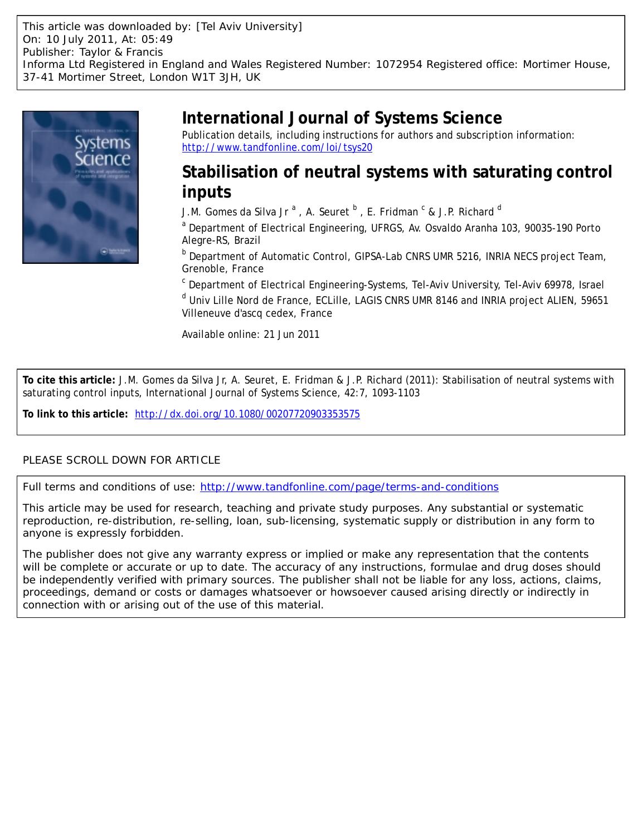This article was downloaded by: [Tel Aviv University] On: 10 July 2011, At: 05:49 Publisher: Taylor & Francis Informa Ltd Registered in England and Wales Registered Number: 1072954 Registered office: Mortimer House, 37-41 Mortimer Street, London W1T 3JH, UK



# **International Journal of Systems Science**

Publication details, including instructions for authors and subscription information: <http://www.tandfonline.com/loi/tsys20>

# **Stabilisation of neutral systems with saturating control inputs**

J.M. Gomes da Silva Jr <sup>a</sup> , A. Seuret <sup>b</sup> , E. Fridman <sup>c</sup> & J.P. Richard <sup>d</sup>

<sup>a</sup> Department of Electrical Engineering, UFRGS, Av. Osvaldo Aranha 103, 90035-190 Porto Alegre-RS, Brazil

**b** Department of Automatic Control, GIPSA-Lab CNRS UMR 5216, INRIA NECS project Team, Grenoble, France

<sup>c</sup> Department of Electrical Engineering-Systems, Tel-Aviv University, Tel-Aviv 69978, Israel <sup>d</sup> Univ Lille Nord de France, ECLille, LAGIS CNRS UMR 8146 and INRIA project ALIEN, 59651 Villeneuve d'ascq cedex, France

Available online: 21 Jun 2011

**To cite this article:** J.M. Gomes da Silva Jr, A. Seuret, E. Fridman & J.P. Richard (2011): Stabilisation of neutral systems with saturating control inputs, International Journal of Systems Science, 42:7, 1093-1103

**To link to this article:** <http://dx.doi.org/10.1080/00207720903353575>

# PLEASE SCROLL DOWN FOR ARTICLE

Full terms and conditions of use:<http://www.tandfonline.com/page/terms-and-conditions>

This article may be used for research, teaching and private study purposes. Any substantial or systematic reproduction, re-distribution, re-selling, loan, sub-licensing, systematic supply or distribution in any form to anyone is expressly forbidden.

The publisher does not give any warranty express or implied or make any representation that the contents will be complete or accurate or up to date. The accuracy of any instructions, formulae and drug doses should be independently verified with primary sources. The publisher shall not be liable for any loss, actions, claims, proceedings, demand or costs or damages whatsoever or howsoever caused arising directly or indirectly in connection with or arising out of the use of this material.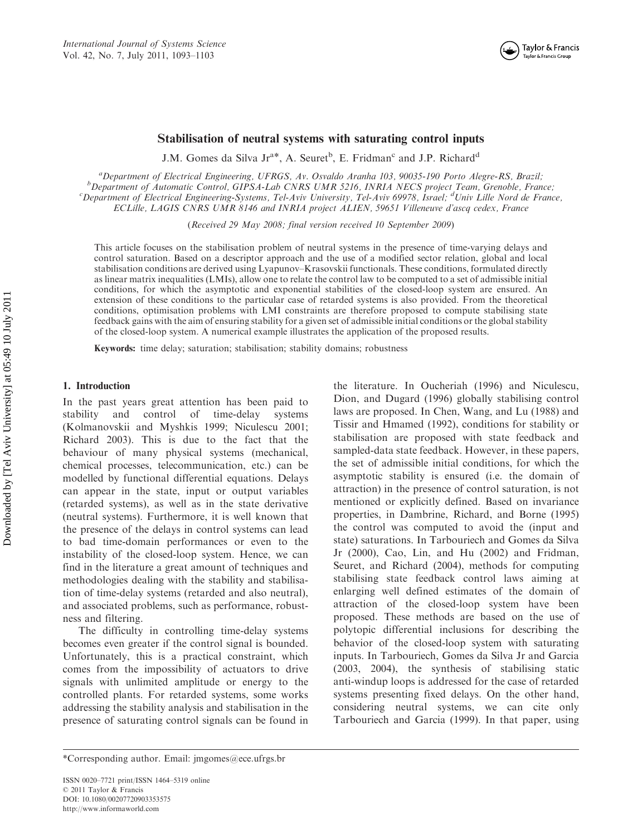

## Stabilisation of neutral systems with saturating control inputs

J.M. Gomes da Silva Jr<sup>a\*</sup>, A. Seuret<sup>b</sup>, E. Fridman<sup>c</sup> and J.P. Richard<sup>d</sup>

<sup>a</sup>Department of Electrical Engineering, UFRGS, Av. Osvaldo Aranha 103, 90035-190 Porto Alegre-RS, Brazil;<br><sup>b</sup>Department of Automatic Control, GIPSA Lab CNPS UMP 5216, INPLA NECS project Team, Granoble, Fran  $b$ Department of Automatic Control, GIPSA-Lab CNRS UMR 5216, INRIA NECS project Team, Grenoble, France; Department of Electrical Engineering-Systems, Tel-Aviv University, Tel-Aviv 69978, Israel; <sup>d</sup>Univ Lille Nord de France, ECLille, LAGIS CNRS UMR 8146 and INRIA project ALIEN, 59651 Villeneuve d'ascq cedex, France

(Received 29 May 2008; final version received 10 September 2009)

This article focuses on the stabilisation problem of neutral systems in the presence of time-varying delays and control saturation. Based on a descriptor approach and the use of a modified sector relation, global and local stabilisation conditions are derived using Lyapunov–Krasovskii functionals. These conditions, formulated directly as linear matrix inequalities (LMIs), allow one to relate the control law to be computed to a set of admissible initial conditions, for which the asymptotic and exponential stabilities of the closed-loop system are ensured. An extension of these conditions to the particular case of retarded systems is also provided. From the theoretical conditions, optimisation problems with LMI constraints are therefore proposed to compute stabilising state feedback gains with the aim of ensuring stability for a given set of admissible initial conditions or the global stability of the closed-loop system. A numerical example illustrates the application of the proposed results.

Keywords: time delay; saturation; stabilisation; stability domains; robustness

#### 1. Introduction

In the past years great attention has been paid to stability and control of time-delay systems (Kolmanovskii and Myshkis 1999; Niculescu 2001; Richard 2003). This is due to the fact that the behaviour of many physical systems (mechanical, chemical processes, telecommunication, etc.) can be modelled by functional differential equations. Delays can appear in the state, input or output variables (retarded systems), as well as in the state derivative (neutral systems). Furthermore, it is well known that the presence of the delays in control systems can lead to bad time-domain performances or even to the instability of the closed-loop system. Hence, we can find in the literature a great amount of techniques and methodologies dealing with the stability and stabilisation of time-delay systems (retarded and also neutral), and associated problems, such as performance, robustness and filtering.

The difficulty in controlling time-delay systems becomes even greater if the control signal is bounded. Unfortunately, this is a practical constraint, which comes from the impossibility of actuators to drive signals with unlimited amplitude or energy to the controlled plants. For retarded systems, some works addressing the stability analysis and stabilisation in the presence of saturating control signals can be found in

the literature. In Oucheriah (1996) and Niculescu, Dion, and Dugard (1996) globally stabilising control laws are proposed. In Chen, Wang, and Lu (1988) and Tissir and Hmamed (1992), conditions for stability or stabilisation are proposed with state feedback and sampled-data state feedback. However, in these papers, the set of admissible initial conditions, for which the asymptotic stability is ensured (i.e. the domain of attraction) in the presence of control saturation, is not mentioned or explicitly defined. Based on invariance properties, in Dambrine, Richard, and Borne (1995) the control was computed to avoid the (input and state) saturations. In Tarbouriech and Gomes da Silva Jr (2000), Cao, Lin, and Hu (2002) and Fridman, Seuret, and Richard (2004), methods for computing stabilising state feedback control laws aiming at enlarging well defined estimates of the domain of attraction of the closed-loop system have been proposed. These methods are based on the use of polytopic differential inclusions for describing the behavior of the closed-loop system with saturating inputs. In Tarbouriech, Gomes da Silva Jr and Garcia (2003, 2004), the synthesis of stabilising static anti-windup loops is addressed for the case of retarded systems presenting fixed delays. On the other hand, considering neutral systems, we can cite only Tarbouriech and Garcia (1999). In that paper, using

<sup>\*</sup>Corresponding author. Email: jmgomes@ece.ufrgs.br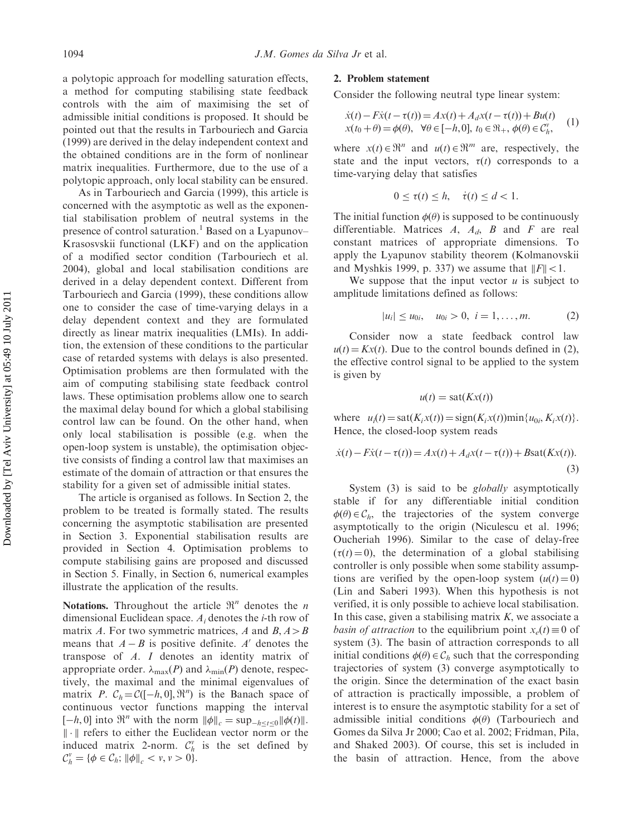a polytopic approach for modelling saturation effects, a method for computing stabilising state feedback controls with the aim of maximising the set of admissible initial conditions is proposed. It should be pointed out that the results in Tarbouriech and Garcia (1999) are derived in the delay independent context and the obtained conditions are in the form of nonlinear matrix inequalities. Furthermore, due to the use of a polytopic approach, only local stability can be ensured.

As in Tarbouriech and Garcia (1999), this article is concerned with the asymptotic as well as the exponential stabilisation problem of neutral systems in the presence of control saturation.<sup>1</sup> Based on a Lyapunov– Krasosvskii functional (LKF) and on the application of a modified sector condition (Tarbouriech et al. 2004), global and local stabilisation conditions are derived in a delay dependent context. Different from Tarbouriech and Garcia (1999), these conditions allow one to consider the case of time-varying delays in a delay dependent context and they are formulated directly as linear matrix inequalities (LMIs). In addition, the extension of these conditions to the particular case of retarded systems with delays is also presented. Optimisation problems are then formulated with the aim of computing stabilising state feedback control laws. These optimisation problems allow one to search the maximal delay bound for which a global stabilising control law can be found. On the other hand, when only local stabilisation is possible (e.g. when the open-loop system is unstable), the optimisation objective consists of finding a control law that maximises an estimate of the domain of attraction or that ensures the stability for a given set of admissible initial states.

The article is organised as follows. In Section 2, the problem to be treated is formally stated. The results concerning the asymptotic stabilisation are presented in Section 3. Exponential stabilisation results are provided in Section 4. Optimisation problems to compute stabilising gains are proposed and discussed in Section 5. Finally, in Section 6, numerical examples illustrate the application of the results.

Notations. Throughout the article  $\mathbb{R}^n$  denotes the *n* dimensional Euclidean space.  $A_i$  denotes the *i*-th row of matrix A. For two symmetric matrices, A and  $B, A > B$ means that  $A - B$  is positive definite. A' denotes the transpose of A. I denotes an identity matrix of appropriate order.  $\lambda_{\text{max}}(P)$  and  $\lambda_{\text{min}}(P)$  denote, respectively, the maximal and the minimal eigenvalues of matrix P.  $C_h = \mathcal{C}([-h, 0], \mathbb{R}^n)$  is the Banach space of continuous vector functions mapping the interval  $[-h, 0]$  into  $\mathbb{R}^n$  with the norm  $\|\phi\|_c = \sup_{-h \le t \le 0} \|\phi(t)\|$ .  $\|\cdot\|$  refers to either the Euclidean vector norm or the induced matrix 2-norm.  $C_h^v$  is the set defined by  $C_h^v = \{\phi \in C_h; \|\phi\|_c < v, v > 0\}.$ 

#### 2. Problem statement

Consider the following neutral type linear system:

$$
\dot{x}(t) - F\dot{x}(t - \tau(t)) = Ax(t) + A_d x(t - \tau(t)) + Bu(t)
$$
  
\n
$$
x(t_0 + \theta) = \phi(\theta), \quad \forall \theta \in [-h, 0], \ t_0 \in \mathfrak{R}_+, \ \phi(\theta) \in \mathcal{C}_h^v,
$$
 (1)

where  $x(t) \in \mathbb{R}^n$  and  $u(t) \in \mathbb{R}^m$  are, respectively, the state and the input vectors,  $\tau(t)$  corresponds to a time-varying delay that satisfies

$$
0 \le \tau(t) \le h, \quad \dot{\tau}(t) \le d < 1.
$$

The initial function  $\phi(\theta)$  is supposed to be continuously differentiable. Matrices  $A$ ,  $A_d$ ,  $B$  and  $F$  are real constant matrices of appropriate dimensions. To apply the Lyapunov stability theorem (Kolmanovskii and Myshkis 1999, p. 337) we assume that  $||F|| < 1$ .

We suppose that the input vector  $u$  is subject to amplitude limitations defined as follows:

$$
|u_i| \le u_{0i}, \quad u_{0i} > 0, \ i = 1, \dots, m. \tag{2}
$$

Consider now a state feedback control law  $u(t) = Kx(t)$ . Due to the control bounds defined in (2), the effective control signal to be applied to the system is given by

$$
u(t) = \text{sat}(Kx(t))
$$

where  $u_i(t) = \text{sat}(K_i x(t)) = \text{sign}(K_i x(t)) \text{min}\{u_{0i}, K_i x(t)\}.$ Hence, the closed-loop system reads

$$
\dot{x}(t) - F\dot{x}(t - \tau(t)) = Ax(t) + A_d x(t - \tau(t)) + B\text{sat}(Kx(t)).
$$
\n(3)

System (3) is said to be *globally* asymptotically stable if for any differentiable initial condition  $\phi(\theta) \in C_h$ , the trajectories of the system converge asymptotically to the origin (Niculescu et al. 1996; Oucheriah 1996). Similar to the case of delay-free  $(\tau(t) = 0)$ , the determination of a global stabilising controller is only possible when some stability assumptions are verified by the open-loop system  $(u(t) = 0)$ (Lin and Saberi 1993). When this hypothesis is not verified, it is only possible to achieve local stabilisation. In this case, given a stabilising matrix  $K$ , we associate a *basin of attraction* to the equilibrium point  $x_e(t) \equiv 0$  of system (3). The basin of attraction corresponds to all initial conditions  $\phi(\theta) \in C_h$  such that the corresponding trajectories of system (3) converge asymptotically to the origin. Since the determination of the exact basin of attraction is practically impossible, a problem of interest is to ensure the asymptotic stability for a set of admissible initial conditions  $\phi(\theta)$  (Tarbouriech and Gomes da Silva Jr 2000; Cao et al. 2002; Fridman, Pila, and Shaked 2003). Of course, this set is included in the basin of attraction. Hence, from the above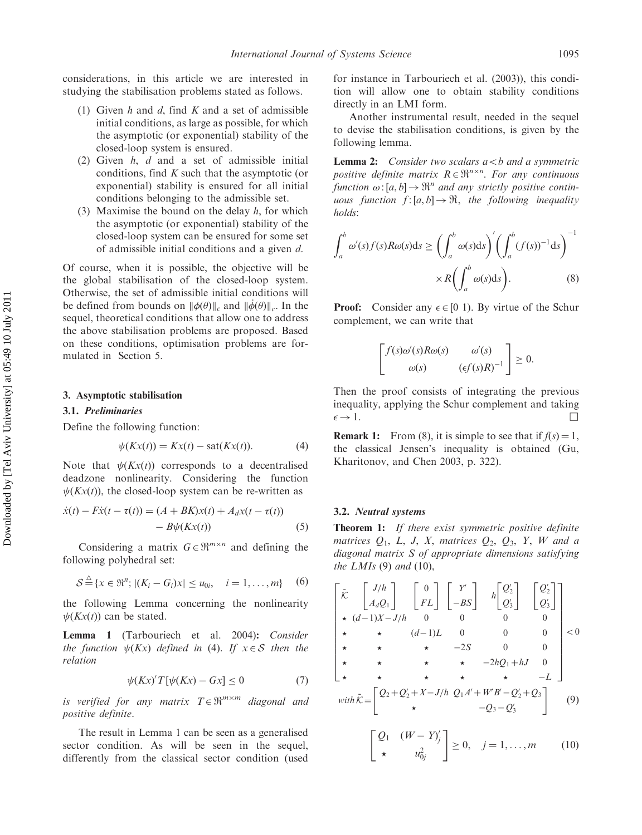considerations, in this article we are interested in studying the stabilisation problems stated as follows.

- (1) Given h and d, find K and a set of admissible initial conditions, as large as possible, for which the asymptotic (or exponential) stability of the closed-loop system is ensured.
- (2) Given h, d and a set of admissible initial conditions, find  $K$  such that the asymptotic (or exponential) stability is ensured for all initial conditions belonging to the admissible set.
- (3) Maximise the bound on the delay  $h$ , for which the asymptotic (or exponential) stability of the closed-loop system can be ensured for some set of admissible initial conditions and a given d.

Of course, when it is possible, the objective will be the global stabilisation of the closed-loop system. Otherwise, the set of admissible initial conditions will be defined from bounds on  $\|\phi(\theta)\|_c$  and  $\|\phi(\theta)\|_c$ . In the sequel, theoretical conditions that allow one to address the above stabilisation problems are proposed. Based on these conditions, optimisation problems are formulated in Section 5.

#### 3. Asymptotic stabilisation

#### 3.1. Preliminaries

Define the following function:

$$
\psi(Kx(t)) = Kx(t) - \text{sat}(Kx(t)).\tag{4}
$$

Note that  $\psi(Kx(t))$  corresponds to a decentralised deadzone nonlinearity. Considering the function  $\psi(Kx(t))$ , the closed-loop system can be re-written as

$$
\dot{x}(t) - F\dot{x}(t - \tau(t)) = (A + BK)x(t) + A_d x(t - \tau(t)) - B\psi(Kx(t))
$$
\n(5)

Considering a matrix  $G \in \mathbb{R}^{m \times n}$  and defining the following polyhedral set:

$$
S \stackrel{\triangle}{=} \{x \in \mathfrak{R}^n; |(K_i - G_i)x| \le u_{0i}, \quad i = 1, ..., m\}
$$
 (6)

the following Lemma concerning the nonlinearity  $\psi(Kx(t))$  can be stated.

Lemma 1 (Tarbouriech et al. 2004): Consider the function  $\psi(Kx)$  defined in (4). If  $x \in S$  then the relation

$$
\psi(Kx)'T[\psi(Kx) - Gx] \le 0 \tag{7}
$$

is verified for any matrix  $T \in \mathbb{R}^{m \times m}$  diagonal and positive definite.

The result in Lemma 1 can be seen as a generalised sector condition. As will be seen in the sequel, differently from the classical sector condition (used for instance in Tarbouriech et al. (2003)), this condition will allow one to obtain stability conditions directly in an LMI form.

Another instrumental result, needed in the sequel to devise the stabilisation conditions, is given by the following lemma.

**Lemma 2:** Consider two scalars  $a < b$  and a symmetric positive definite matrix  $R \in \mathbb{R}^{n \times n}$ . For any continuous function  $\omega$ : [a, b]  $\rightarrow \mathbb{R}^n$  and any strictly positive continuous function  $f:[a,b] \to \mathfrak{R}$ , the following inequality holds:

$$
\int_{a}^{b} \omega'(s) f(s) R \omega(s) ds \ge \left( \int_{a}^{b} \omega(s) ds \right)' \left( \int_{a}^{b} (f(s))^{-1} ds \right)^{-1}
$$

$$
\times R \left( \int_{a}^{b} \omega(s) ds \right). \tag{8}
$$

**Proof:** Consider any  $\epsilon \in [0 \ 1)$ . By virtue of the Schur complement, we can write that

$$
\begin{bmatrix} f(s)\omega'(s)R\omega(s) & \omega'(s) \\ \omega(s) & (\epsilon f(s)R)^{-1} \end{bmatrix} \geq 0.
$$

Then the proof consists of integrating the previous inequality, applying the Schur complement and taking  $\epsilon \to 1.$ 

**Remark 1:** From (8), it is simple to see that if  $f(s) = 1$ , the classical Jensen's inequality is obtained (Gu, Kharitonov, and Chen 2003, p. 322).

#### 3.2. Neutral systems

**Theorem 1:** If there exist symmetric positive definite matrices  $Q_1$ , L, J, X, matrices  $Q_2$ ,  $Q_3$ , Y, W and a diagonal matrix S of appropriate dimensions satisfying the  $LMIs$  (9) and (10),

$$
\begin{bmatrix}\n\tilde{\kappa} & \begin{bmatrix} J/h \\ A_d Q_1 \end{bmatrix} & \begin{bmatrix} 0 \\ FL \end{bmatrix} & \begin{bmatrix} Y' \\ -BS \end{bmatrix} & h \begin{bmatrix} Q_2' \\ Q_3' \end{bmatrix} & \begin{bmatrix} Q_2' \\ Q_3' \end{bmatrix} \\
\star & \star & (d-1)X - J/h & 0 & 0 & 0 \\
\star & \star & \star & -2S & 0 & 0 \\
\star & \star & \star & -2hQ_1 + hJ & 0 \\
\star & \star & \star & \star & -L\n\end{bmatrix}\n\end{bmatrix} < 0
$$
\n
$$
\star \quad \star \quad \star \quad \star \quad -2hQ_1 + hJ & 0 \\
\star \quad \star \quad \star \quad \star \quad \star \quad -L\n\end{bmatrix}
$$
\n
$$
\text{with } \tilde{\kappa} = \begin{bmatrix} Q_2 + Q_2' + X - J/h & Q_1 A' + W'B' - Q_2' + Q_3 \\ \star & \star & -Q_3 - Q_3' \end{bmatrix} \quad (9)
$$
\n
$$
\begin{bmatrix} Q_1 & (W - Y)_j' \\ \star & u_{0j}^2 \end{bmatrix} \geq 0, \quad j = 1, \dots, m \quad (10)
$$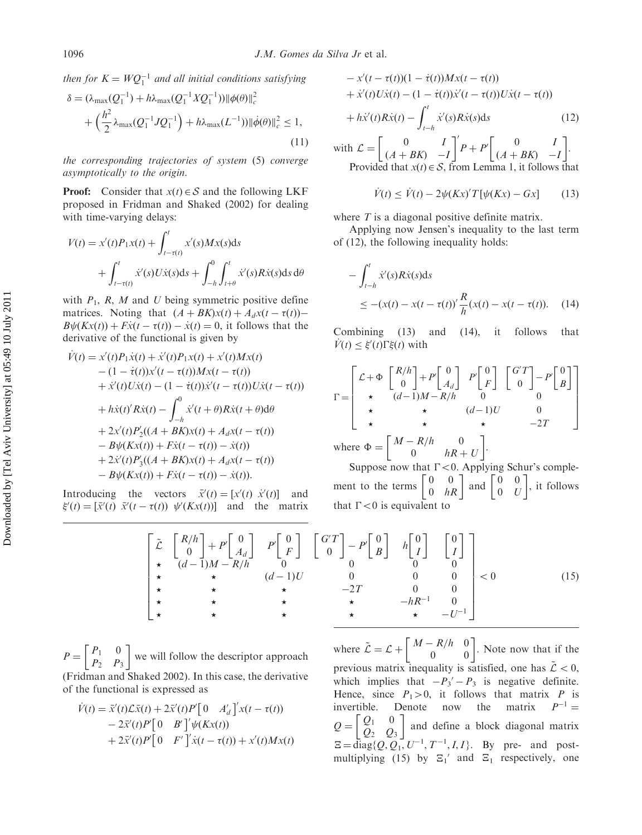then for  $K = WQ_1^{-1}$  and all initial conditions satisfying

$$
\delta = (\lambda_{\max}(Q_1^{-1}) + h\lambda_{\max}(Q_1^{-1}XQ_1^{-1})) \|\phi(\theta)\|_c^2
$$
  
+ 
$$
\left(\frac{h^2}{2}\lambda_{\max}(Q_1^{-1}JQ_1^{-1}) + h\lambda_{\max}(L^{-1})) \|\dot{\phi}(\theta)\|_c^2 \le 1,
$$
 (11)

the corresponding trajectories of system (5) converge asymptotically to the origin.

**Proof:** Consider that  $x(t) \in S$  and the following LKF proposed in Fridman and Shaked (2002) for dealing with time-varying delays:

$$
V(t) = x'(t)P_1x(t) + \int_{t-\tau(t)}^t x'(s)Mx(s)ds
$$
  
+ 
$$
\int_{t-\tau(t)}^t \dot{x}'(s)U\dot{x}(s)ds + \int_{-h}^0 \int_{t+\theta}^t \dot{x}'(s)R\dot{x}(s)ds d\theta
$$

with  $P_1$ , R, M and U being symmetric positive define matrices. Noting that  $(A + BK)x(t) + A_dx(t - \tau(t))$  $B\psi(Kx(t)) + F\dot{x}(t - \tau(t)) - \dot{x}(t) = 0$ , it follows that the derivative of the functional is given by

$$
\dot{V}(t) = x'(t)P_1\dot{x}(t) + \dot{x}'(t)P_1x(t) + x'(t)Mx(t) \n- (1 - \dot{\tau}(t))x'(t - \tau(t))Mx(t - \tau(t)) \n+ \dot{x}'(t)U\dot{x}(t) - (1 - \dot{\tau}(t))\dot{x}'(t - \tau(t))U\dot{x}(t - \tau(t)) \n+ h\dot{x}(t)'R\dot{x}(t) - \int_{-h}^{0} \dot{x}'(t + \theta)R\dot{x}(t + \theta)d\theta \n+ 2x'(t)P_2'((A + BK)x(t) + A_dx(t - \tau(t)) \n- B\psi(Kx(t)) + F\dot{x}(t - \tau(t)) - \dot{x}(t)) \n+ 2\dot{x}'(t)P_3'((A + BK)x(t) + A_dx(t - \tau(t)) \n- B\psi(Kx(t)) + F\dot{x}(t - \tau(t)) - \dot{x}(t)).
$$

Introducing the vectors  $\vec{x}'(t) = [x'(t) \ \dot{x}'(t)]$  and  $\xi'(t) = [\bar{x}'(t) \ \bar{x}'(t - \tau(t)) \ \psi'(Kx(t))]$  and the matrix

$$
-x'(t - \tau(t))(1 - \dot{\tau}(t))Mx(t - \tau(t)) + \dot{x}'(t)U\dot{x}(t) - (1 - \dot{\tau}(t))\dot{x}'(t - \tau(t))U\dot{x}(t - \tau(t)) + h\dot{x}'(t)R\dot{x}(t) - \int_{t-h}^{t} \dot{x}'(s)R\dot{x}(s)ds
$$
(12)

with  $\mathcal{L} = \begin{bmatrix} 0 & I \\ (A + BK) & -I \end{bmatrix}$  $\begin{bmatrix} 0 & I \\ (A+BK) & -I \end{bmatrix}^T P + P \begin{bmatrix} 0 & I \\ (A+BK) & -I \end{bmatrix}$  $\begin{bmatrix} 0 & 1 \end{bmatrix}$ . Provided that  $x(t) \in S$ , from Lemma 1, it follows that

$$
\dot{V}(t) \le \dot{V}(t) - 2\psi(Kx)'T[\psi(Kx) - Gx] \qquad (13)
$$

where  $T$  is a diagonal positive definite matrix.

Applying now Jensen's inequality to the last term of (12), the following inequality holds:

$$
-\int_{t-h}^{t} \dot{x}'(s)R\dot{x}(s)ds
$$
  
\n
$$
\leq -(x(t) - x(t - \tau(t))'\frac{R}{h}(x(t) - x(t - \tau(t))).
$$
 (14)

Combining (13) and (14), it follows that  $\dot{V}(t) \leq \xi'(t)\Gamma \xi(t)$  with

$$
\Gamma = \begin{bmatrix} \mathcal{L} + \Phi & \begin{bmatrix} R/h \\ 0 \end{bmatrix} + P' \begin{bmatrix} 0 \\ A_d \end{bmatrix} & P' \begin{bmatrix} 0 \\ F \end{bmatrix} & \begin{bmatrix} G'T \\ 0 \end{bmatrix} - P' \begin{bmatrix} 0 \\ B \end{bmatrix} \\ \star & (d-1)M - R/h & 0 & 0 \\ \star & \star & (d-1)U & 0 \\ \star & \star & \star & -2T \end{bmatrix}
$$
\nwhere  $\Phi = \begin{bmatrix} M - R/h & 0 \\ 0 & hR + H \end{bmatrix}$ .

where  $\Phi = \begin{bmatrix} M - R/h & 0 \\ 0 & hR \end{bmatrix}$ 0  $hR + U$ 

Suppose now that  $\Gamma < 0$ . Applying Schur's complement to the terms  $\begin{bmatrix} 0 & 0 \\ 0 & hR \end{bmatrix}$  and  $\begin{bmatrix} 0 & 0 \\ 0 & U \end{bmatrix}$  $\frac{mg}{20}$   $\frac{90}{10}$ , it follows that  $\Gamma$  < 0 is equivalent to

| $\left[\begin{array}{ccc} \tilde{\mathcal{L}} & \left[\begin{array}{c} R/h \\ 0 \end{array}\right] + P' \left[\begin{array}{c} 0 \\ A_d \end{array}\right] & P' \left[\begin{array}{c} 0 \\ F \end{array}\right] & \left[\begin{array}{c} G'T \\ 0 \end{array}\right] - P' \left[\begin{array}{c} 0 \\ B \end{array}\right] & h \left[\begin{array}{c} 0 \\ I \end{array}\right] & \left[\begin{array}{c} 0 \\ I \end{array}\right] \\ \star & (d-1)M - R/h \end{array}\right]$ |          |  |  |  |
|---------------------------------------------------------------------------------------------------------------------------------------------------------------------------------------------------------------------------------------------------------------------------------------------------------------------------------------------------------------------------------------------------------------------------------------------------------------------------------|----------|--|--|--|
|                                                                                                                                                                                                                                                                                                                                                                                                                                                                                 | $(d-1)U$ |  |  |  |
|                                                                                                                                                                                                                                                                                                                                                                                                                                                                                 |          |  |  |  |
|                                                                                                                                                                                                                                                                                                                                                                                                                                                                                 |          |  |  |  |
|                                                                                                                                                                                                                                                                                                                                                                                                                                                                                 |          |  |  |  |

 $P = \begin{bmatrix} P_1 & 0 \\ P_2 & P_3 \end{bmatrix}$  $\begin{bmatrix} p & 0 \end{bmatrix}$ we will follow the descriptor approach (Fridman and Shaked 2002). In this case, the derivative of the functional is expressed as

$$
\dot{V}(t) = \bar{x}'(t)\mathcal{L}\bar{x}(t) + 2\bar{x}'(t)P'[0 \t A_d']'x(t - \tau(t)) \n- 2\bar{x}'(t)P'[0 \t B']'\psi(Kx(t)) \n+ 2\bar{x}'(t)P'[0 \t F']'\dot{x}(t - \tau(t)) + x'(t)Mx(t)
$$

where  $\tilde{\mathcal{L}} = \mathcal{L} + \begin{bmatrix} M - R/h & 0 \\ 0 & 0 \end{bmatrix}$ . Note now that if the previous matrix inequality is satisfied, one has  $\mathcal{L} < 0$ , which implies that  $-P_3' - P_3$  is negative definite. Hence, since  $P_1>0$ , it follows that matrix P is invertible. Denote now the matrix  $P^{-1} =$  $Q = \begin{bmatrix} Q_1 & 0 \\ Q_2 & Q_3 \end{bmatrix}$  $\begin{bmatrix} 1 & 0 \\ 0 & 1 \end{bmatrix}$ and define a block diagonal matrix  $\Xi = \text{diag}\{Q, Q_1, U^{-1}, T^{-1}, I, I\}$ . By pre- and postmultiplying (15) by  $\Xi_1'$  and  $\Xi_1$  respectively, one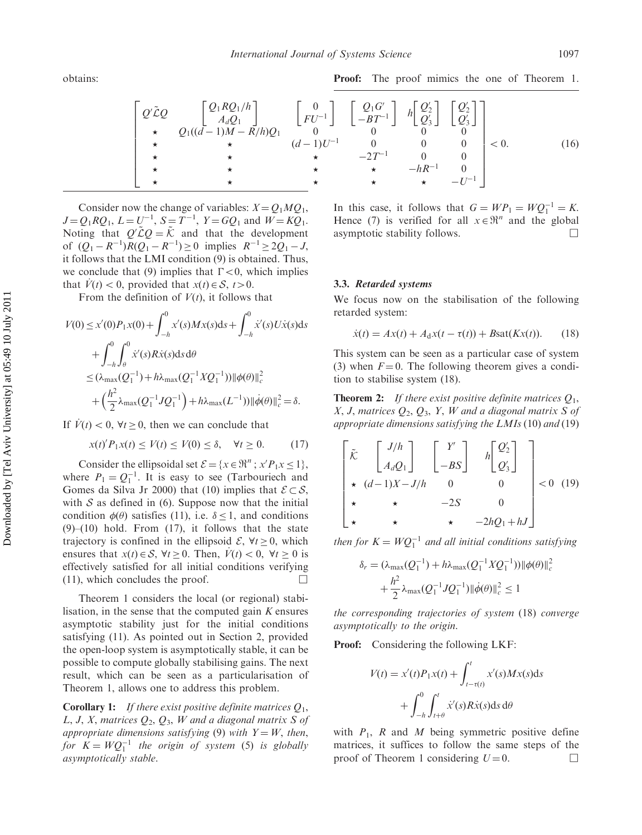Proof: The proof mimics the one of Theorem 1.

$$
\begin{bmatrix}\nQ'\tilde{\mathcal{L}}Q & \begin{bmatrix}\nQ_1RQ_1/h \\
A_dQ_1 \\
\star & Q_1((d-1)M-R/h)Q_1\n\end{bmatrix} & \begin{bmatrix}\n0 \\
FU^{-1}\n\end{bmatrix} & \begin{bmatrix}\nQ_1G' \\
-BT^{-1}\n\end{bmatrix} & h\begin{bmatrix}\nQ'_2 \\
Q'_3\n\end{bmatrix} & \begin{bmatrix}\nQ'_2 \\
Q'_3\n\end{bmatrix} \\
\star & \star & \star & (d-1)U^{-1} & 0 & 0 & 0 \\
\star & \star & \star & -2T^{-1} & 0 & 0 \\
\star & \star & \star & \star & -hR^{-1} & 0 \\
\star & \star & \star & \star & -U^{-1}\n\end{bmatrix} < 0.\n\end{bmatrix} < 0.\n\tag{16}
$$

Consider now the change of variables:  $X = Q_1 M Q_1$ ,  $J = Q_1 R Q_1, L = U^{-1}, S = T^{-1}, Y = G Q_1$  and  $W = K Q_1$ . Noting that  $Q' \tilde{\mathcal{L}} Q = \tilde{\mathcal{K}}$  and that the development of  $(Q_1 - R^{-1})R(Q_1 - R^{-1}) \ge 0$  implies  $R^{-1} \ge 2Q_1 - J$ , it follows that the LMI condition (9) is obtained. Thus, we conclude that (9) implies that  $\Gamma < 0$ , which implies that  $V(t) < 0$ , provided that  $x(t) \in S$ ,  $t > 0$ .

From the definition of  $V(t)$ , it follows that

$$
V(0) \le x'(0)P_1x(0) + \int_{-h}^{0} x'(s)Mx(s)ds + \int_{-h}^{0} \dot{x}'(s)U\dot{x}(s)ds + \int_{-h}^{0} \int_{\theta}^{0} \dot{x}'(s)R\dot{x}(s)ds d\theta \le (\lambda_{\text{max}}(Q_1^{-1}) + h\lambda_{\text{max}}(Q_1^{-1}XQ_1^{-1})) ||\phi(\theta)||_c^2 + \left(\frac{h^2}{2}\lambda_{\text{max}}(Q_1^{-1}JQ_1^{-1}) + h\lambda_{\text{max}}(L^{-1})) ||\dot{\phi}(\theta)||_c^2 = \delta.
$$

If  $\dot{V}(t) < 0$ ,  $\forall t \ge 0$ , then we can conclude that

$$
x(t)^{\prime} P_1 x(t) \le V(t) \le V(0) \le \delta, \quad \forall t \ge 0. \tag{17}
$$

Consider the ellipsoidal set  $\mathcal{E} = \{x \in \mathbb{R}^n : x'P_1x \le 1\},\$ where  $P_1 = Q_1^{-1}$ . It is easy to see (Tarbouriech and Gomes da Silva Jr 2000) that (10) implies that  $\mathcal{E} \subset \mathcal{S}$ , with  $S$  as defined in (6). Suppose now that the initial condition  $\phi(\theta)$  satisfies (11), i.e.  $\delta \leq 1$ , and conditions  $(9)$ – $(10)$  hold. From  $(17)$ , it follows that the state trajectory is confined in the ellipsoid  $\mathcal{E}, \forall t > 0$ , which ensures that  $x(t) \in S$ ,  $\forall t \geq 0$ . Then,  $V(t) < 0$ ,  $\forall t \geq 0$  is effectively satisfied for all initial conditions verifying (11), which concludes the proof.  $\Box$ 

Theorem 1 considers the local (or regional) stabilisation, in the sense that the computed gain  $K$  ensures asymptotic stability just for the initial conditions satisfying (11). As pointed out in Section 2, provided the open-loop system is asymptotically stable, it can be possible to compute globally stabilising gains. The next result, which can be seen as a particularisation of Theorem 1, allows one to address this problem.

**Corollary 1:** If there exist positive definite matrices  $Q_1$ , L, J, X, matrices  $Q_2$ ,  $Q_3$ , W and a diagonal matrix S of appropriate dimensions satisfying (9) with  $Y = W$ , then, for  $K = WQ_1^{-1}$  the origin of system (5) is globally asymptotically stable.

In this case, it follows that  $G = WP_1 = WQ_1^{-1} = K$ . Hence (7) is verified for all  $x \in \mathbb{R}^n$  and the global asymptotic stability follows.  $\Box$ 

#### 3.3. Retarded systems

We focus now on the stabilisation of the following retarded system:

$$
\dot{x}(t) = Ax(t) + A_d x(t - \tau(t)) + B \text{sat}(Kx(t)).
$$
 (18)

This system can be seen as a particular case of system (3) when  $F = 0$ . The following theorem gives a condition to stabilise system (18).

**Theorem 2:** If there exist positive definite matrices  $Q_1$ , X, J, matrices  $Q_2$ ,  $Q_3$ , Y, W and a diagonal matrix S of appropriate dimensions satisfying the LMIs (10) and (19)

$$
\begin{bmatrix}\n\tilde{\mathcal{K}} & \begin{bmatrix} J/h \\ A_d Q_1 \end{bmatrix} & \begin{bmatrix} Y' \\ -BS \end{bmatrix} & h \begin{bmatrix} Q'_2 \\ Q'_3 \end{bmatrix} \\
\star & (d-1)X - J/h & 0 & 0 \\
\star & \star & -2S & 0 \\
\star & \star & \star & -2hQ_1 + hJ\n\end{bmatrix} < 0 \tag{19}
$$

then for  $K = WQ_1^{-1}$  and all initial conditions satisfying

$$
\delta_r = (\lambda_{\max}(Q_1^{-1}) + h\lambda_{\max}(Q_1^{-1}XQ_1^{-1})) \|\phi(\theta)\|_c^2
$$
  
+ 
$$
\frac{h^2}{2} \lambda_{\max}(Q_1^{-1}JQ_1^{-1}) \|\dot{\phi}(\theta)\|_c^2 \le 1
$$

the corresponding trajectories of system (18) converge asymptotically to the origin.

Proof: Considering the following LKF:

$$
V(t) = x'(t)P_1x(t) + \int_{t-\tau(t)}^t x'(s)Mx(s)ds
$$

$$
+ \int_{-h}^0 \int_{t+\theta}^t \dot{x}'(s)R\dot{x}(s)ds d\theta
$$

with  $P_1$ ,  $R$  and  $M$  being symmetric positive define matrices, it suffices to follow the same steps of the proof of Theorem 1 considering  $U = 0$ .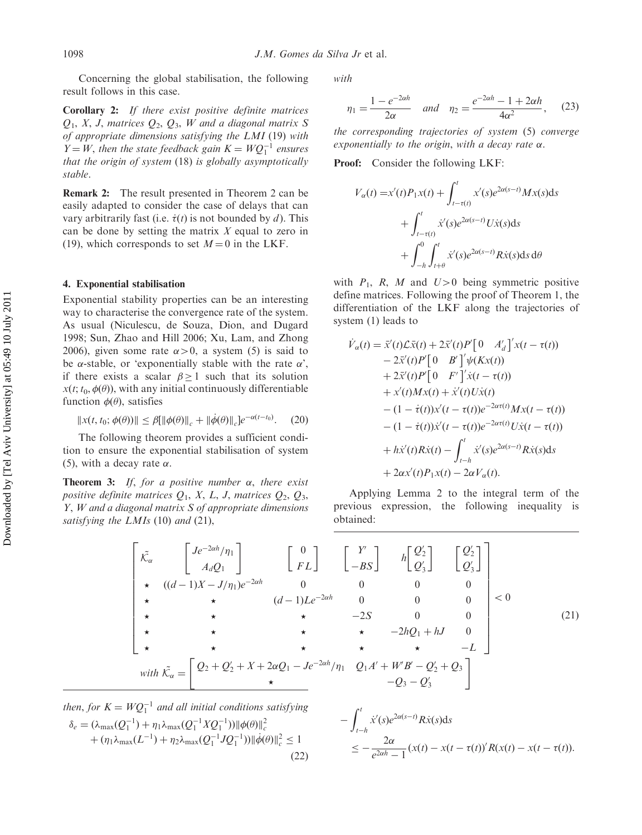Concerning the global stabilisation, the following result follows in this case.

Corollary 2: If there exist positive definite matrices  $Q_1$ , X, J, matrices  $Q_2$ ,  $Q_3$ , W and a diagonal matrix S of appropriate dimensions satisfying the LMI (19) with  $Y = W$ , then the state feedback gain  $K = WQ_1^{-1}$  ensures that the origin of system (18) is globally asymptotically stable.

Remark 2: The result presented in Theorem 2 can be easily adapted to consider the case of delays that can vary arbitrarily fast (i.e.  $\dot{\tau}(t)$  is not bounded by d). This can be done by setting the matrix  $X$  equal to zero in (19), which corresponds to set  $M = 0$  in the LKF.

## 4. Exponential stabilisation

Exponential stability properties can be an interesting way to characterise the convergence rate of the system. As usual (Niculescu, de Souza, Dion, and Dugard 1998; Sun, Zhao and Hill 2006; Xu, Lam, and Zhong 2006), given some rate  $\alpha > 0$ , a system (5) is said to be  $\alpha$ -stable, or 'exponentially stable with the rate  $\alpha$ ', if there exists a scalar  $\beta \geq 1$  such that its solution  $x(t; t_0, \phi(\theta))$ , with any initial continuously differentiable function  $\phi(\theta)$ , satisfies

$$
||x(t, t_0; \phi(\theta))|| \leq \beta [||\phi(\theta)||_c + ||\dot{\phi}(\theta)||_c]e^{-\alpha(t - t_0)}.
$$
 (20)

The following theorem provides a sufficient condition to ensure the exponential stabilisation of system (5), with a decay rate  $\alpha$ .

**Theorem 3:** If, for a positive number  $\alpha$ , there exist positive definite matrices  $Q_1$ , X, L, J, matrices  $Q_2$ ,  $Q_3$ , Y, W and a diagonal matrix S of appropriate dimensions satisfying the LMIs (10) and (21),

with

$$
\eta_1 = \frac{1 - e^{-2\alpha h}}{2\alpha} \quad \text{and} \quad \eta_2 = \frac{e^{-2\alpha h} - 1 + 2\alpha h}{4\alpha^2}, \quad (23)
$$

the corresponding trajectories of system (5) converge exponentially to the origin, with a decay rate  $\alpha$ .

Proof: Consider the following LKF:

$$
V_{\alpha}(t) = x'(t)P_1x(t) + \int_{t-\tau(t)}^t x'(s)e^{2\alpha(s-t)}Mx(s)ds
$$
  
+ 
$$
\int_{t-\tau(t)}^t \dot{x}'(s)e^{2\alpha(s-t)}U\dot{x}(s)ds
$$
  
+ 
$$
\int_{-h}^0 \int_{t+\theta}^t \dot{x}'(s)e^{2\alpha(s-t)}R\dot{x}(s)ds d\theta
$$

with  $P_1$ , R, M and  $U>0$  being symmetric positive define matrices. Following the proof of Theorem 1, the differentiation of the LKF along the trajectories of system (1) leads to

$$
\dot{V}_{\alpha}(t) = \bar{x}'(t)\mathcal{L}\bar{x}(t) + 2\bar{x}'(t)P'[0 \t A_d']'x(t - \tau(t))\n- 2\bar{x}'(t)P'[0 \t B']'\psi(Kx(t))\n+ 2\bar{x}'(t)P'[0 \t F']'\dot{x}(t - \tau(t))\n+ x'(t)Mx(t) + \dot{x}'(t)U\dot{x}(t)\n- (1 - \dot{\tau}(t))x'(t - \tau(t))e^{-2\alpha\tau(t)}Mx(t - \tau(t))\n- (1 - \dot{\tau}(t))\dot{x}'(t - \tau(t))e^{-2\alpha\tau(t)}U\dot{x}(t - \tau(t))\n+ h\dot{x}'(t)R\dot{x}(t) - \int_{t-h}^{t} \dot{x}'(s)e^{2\alpha(s-t)}R\dot{x}(s)ds\n+ 2\alpha x'(t)P_1x(t) - 2\alpha V_{\alpha}(t).
$$

Applying Lemma 2 to the integral term of the previous expression, the following inequality is obtained:

$$
\begin{bmatrix}\n\tilde{\mathcal{K}}_{\alpha} & \begin{bmatrix}\nJe^{-2\alpha h}/\eta_1 \\
A_d Q_1\n\end{bmatrix} & \begin{bmatrix}\n0 \\
FL\n\end{bmatrix} & \begin{bmatrix}\nY' \\
-BS\n\end{bmatrix} & h \begin{bmatrix}\nQ'_2 \\
Q'_3\n\end{bmatrix} & \begin{bmatrix}\nQ'_2 \\
Q'_3\n\end{bmatrix} \\
\star & ((d-1)X - J/\eta_1)e^{-2\alpha h} & 0 & 0 & 0 & 0 \\
\star & \star & (d-1)Le^{-2\alpha h} & 0 & 0 & 0 \\
\star & \star & -2S & 0 & 0 \\
\star & \star & -2hQ_1 + hJ & 0 & 0 \\
\star & \star & \star & -L\n\end{bmatrix} < 0\n\end{bmatrix} < 0\n\tag{21}
$$
\nwith 
$$
\tilde{\mathcal{K}}_{\alpha} = \begin{bmatrix}\nQ_2 + Q_2' + X + 2\alpha Q_1 - Je^{-2\alpha h}/\eta_1 & Q_1 A' + W'B' - Q'_2 + Q_3 \\
\star & \star & \star & -Q_3 - Q'_3\n\end{bmatrix} = WQ_1^{-1} \text{ and all initial conditions satisfying}
$$

then, for 
$$
K = WQ_1^{-1}
$$
 and all initial conditions satisfying  
\n
$$
\delta_e = (\lambda_{\text{max}}(Q_1^{-1}) + \eta_1 \lambda_{\text{max}}(Q_1^{-1}XQ_1^{-1})) \|\phi(\theta)\|_c^2 + (\eta_1 \lambda_{\text{max}}(L^{-1}) + \eta_2 \lambda_{\text{max}}(Q_1^{-1}JQ_1^{-1})) \|\dot{\phi}(\theta)\|_c^2 \le 1
$$
\n(22)

$$
-\int_{t-h}^{t} \dot{x}'(s)e^{2\alpha(s-t)}R\dot{x}(s)ds
$$
  

$$
\leq -\frac{2\alpha}{e^{2\alpha h}-1}(x(t)-x(t-\tau(t))')R(x(t)-x(t-\tau(t))).
$$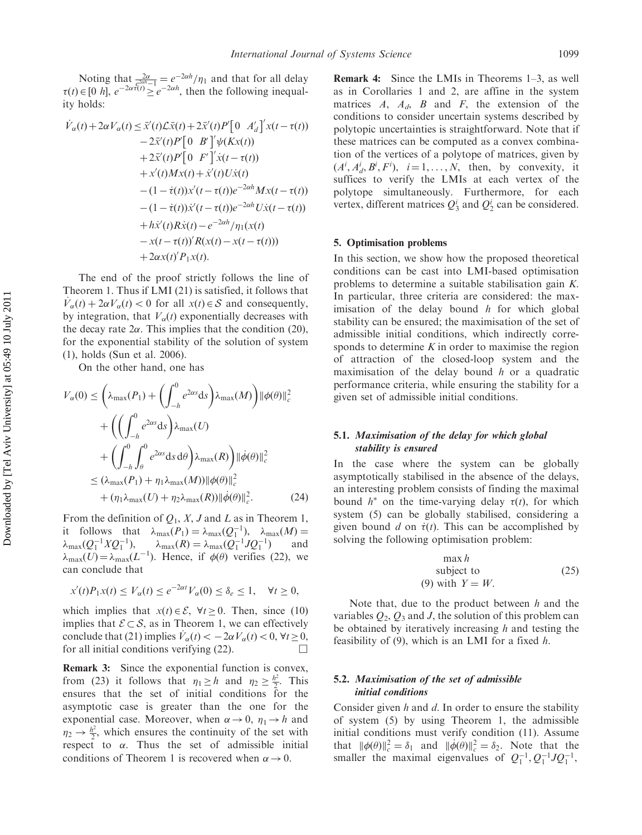Noting that  $\frac{2\alpha}{e^{2\alpha h}-1} = e^{-2\alpha h}/\eta_1$  and that for all delay  $\tau(t) \in [0 \; h], \; e^{-2\alpha \tau(t)} \geq e^{-2\alpha h}$ , then the following inequality holds:

$$
\dot{V}_{\alpha}(t) + 2\alpha V_{\alpha}(t) \le \bar{x}'(t)\mathcal{L}\bar{x}(t) + 2\bar{x}'(t)P'[0 \t A_d']'x(t - \tau(t))\n- 2\bar{x}'(t)P'[0 \t B']'\psi(Kx(t))\n+ 2\bar{x}'(t)P'[0 \t F']'\dot{x}(t - \tau(t))\n+ x'(t)Mx(t) + \dot{x}'(t)U\dot{x}(t)\n- (1 - \dot{\tau}(t))x'(t - \tau(t))e^{-2\alpha h}Mx(t - \tau(t))\n- (1 - \dot{\tau}(t))\dot{x}'(t - \tau(t))e^{-2\alpha h}U\dot{x}(t - \tau(t))\n+ h\dot{x}'(t)R\dot{x}(t) - e^{-2\alpha h}/\eta_1(x(t)\n- x(t - \tau(t))'R(x(t) - x(t - \tau(t)))\n+ 2\alpha x(t)'P_1x(t).
$$

The end of the proof strictly follows the line of Theorem 1. Thus if LMI (21) is satisfied, it follows that  $\dot{V}_\alpha(t) + 2\alpha V_\alpha(t) < 0$  for all  $x(t) \in S$  and consequently, by integration, that  $V_\alpha(t)$  exponentially decreases with the decay rate  $2\alpha$ . This implies that the condition (20), for the exponential stability of the solution of system (1), holds (Sun et al. 2006).

On the other hand, one has

$$
V_{\alpha}(0) \leq \left(\lambda_{\max}(P_1) + \left(\int_{-h}^{0} e^{2\alpha s} ds\right) \lambda_{\max}(M)\right) ||\phi(\theta)||_c^2
$$
  
+ 
$$
\left(\left(\int_{-h}^{0} e^{2\alpha s} ds\right) \lambda_{\max}(U) + \left(\int_{-h}^{0} \int_{\theta}^{0} e^{2\alpha s} ds d\theta\right) \lambda_{\max}(R)\right) ||\dot{\phi}(\theta)||_c^2
$$
  

$$
\leq \left(\lambda_{\max}(P_1) + \eta_1 \lambda_{\max}(M)\right) ||\phi(\theta)||_c^2
$$
  
+ 
$$
(\eta_1 \lambda_{\max}(U) + \eta_2 \lambda_{\max}(R)) ||\dot{\phi}(\theta)||_c^2.
$$
 (24)

From the definition of  $Q_1$ , X, J and L as in Theorem 1, it follows that  $\lambda_{\max}(P_1) = \lambda_{\max}(Q_1^{-1}), \lambda_{\max}(M) =$  $\lambda_{\max}(Q_1^{-1}XQ_1^{-1}), \quad \lambda$  $max(R) = \lambda_{max}(Q_1^{-1}JQ_1^{-1})$  and  $\lambda_{\text{max}}(U) = \lambda_{\text{max}}(L^{-1})$ . Hence, if  $\phi(\theta)$  verifies (22), we can conclude that

$$
x'(t)P_1x(t) \le V_\alpha(t) \le e^{-2\alpha t}V_\alpha(0) \le \delta_e \le 1, \quad \forall t \ge 0,
$$

which implies that  $x(t) \in \mathcal{E}$ ,  $\forall t \ge 0$ . Then, since (10) implies that  $\mathcal{E} \subset \mathcal{S}$ , as in Theorem 1, we can effectively conclude that (21) implies  $\dot{V}_\alpha(t) < -2\alpha V_\alpha(t) < 0$ ,  $\forall t \ge 0$ , for all initial conditions verifying  $(22)$ .

Remark 3: Since the exponential function is convex, from (23) it follows that  $\eta_1 \geq h$  and  $\eta_2 \geq \frac{h^2}{2}$ . This ensures that the set of initial conditions for the asymptotic case is greater than the one for the exponential case. Moreover, when  $\alpha \rightarrow 0$ ,  $\eta_1 \rightarrow h$  and  $\eta_2 \rightarrow \frac{h^2}{2}$ , which ensures the continuity of the set with respect to  $\alpha$ . Thus the set of admissible initial conditions of Theorem 1 is recovered when  $\alpha \rightarrow 0$ .

**Remark 4:** Since the LMIs in Theorems 1–3, as well as in Corollaries 1 and 2, are affine in the system matrices  $A$ ,  $A_d$ ,  $B$  and  $F$ , the extension of the conditions to consider uncertain systems described by polytopic uncertainties is straightforward. Note that if these matrices can be computed as a convex combination of the vertices of a polytope of matrices, given by  $(A^i, A^i_d, B^i, F^i), i = 1, ..., N$ , then, by convexity, it suffices to verify the LMIs at each vertex of the polytope simultaneously. Furthermore, for each vertex, different matrices  $Q_3^i$  and  $Q_2^i$  can be considered.

#### 5. Optimisation problems

In this section, we show how the proposed theoretical conditions can be cast into LMI-based optimisation problems to determine a suitable stabilisation gain K. In particular, three criteria are considered: the maximisation of the delay bound  $h$  for which global stability can be ensured; the maximisation of the set of admissible initial conditions, which indirectly corresponds to determine  $K$  in order to maximise the region of attraction of the closed-loop system and the maximisation of the delay bound  $h$  or a quadratic performance criteria, while ensuring the stability for a given set of admissible initial conditions.

#### 5.1. Maximisation of the delay for which global stability is ensured

In the case where the system can be globally asymptotically stabilised in the absence of the delays, an interesting problem consists of finding the maximal bound  $h^*$  on the time-varying delay  $\tau(t)$ , for which system (5) can be globally stabilised, considering a given bound d on  $\dot{\tau}(t)$ . This can be accomplished by solving the following optimisation problem:

$$
\begin{array}{ll}\n\text{max } h\\ \n\text{subject to} \\ \n\text{(9) with } Y = W. \n\end{array} \tag{25}
$$

Note that, due to the product between  $h$  and the variables  $Q_2$ ,  $Q_3$  and J, the solution of this problem can be obtained by iteratively increasing  $h$  and testing the feasibility of  $(9)$ , which is an LMI for a fixed h.

# 5.2. Maximisation of the set of admissible initial conditions

Consider given  $h$  and  $d$ . In order to ensure the stability of system (5) by using Theorem 1, the admissible initial conditions must verify condition (11). Assume that  $\|\phi(\theta)\|_{c}^{2} = \delta_{1}$  and  $\|\dot{\phi}(\theta)\|_{c}^{2} = \delta_{2}$ . Note that the smaller the maximal eigenvalues of  $Q_1^{-1}, Q_1^{-1}JQ_1^{-1}$ ,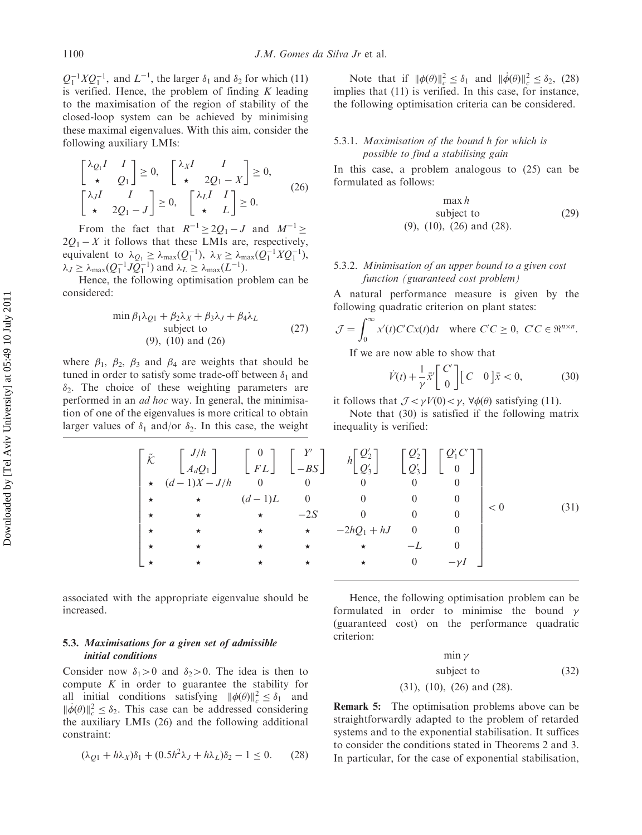$Q_1^{-1}XQ_1^{-1}$ , and  $L^{-1}$ , the larger  $\delta_1$  and  $\delta_2$  for which (11) is verified. Hence, the problem of finding  $K$  leading to the maximisation of the region of stability of the closed-loop system can be achieved by minimising these maximal eigenvalues. With this aim, consider the following auxiliary LMIs:

$$
\begin{bmatrix} \lambda_{Q_1} I & I \\ \star & Q_1 \end{bmatrix} \ge 0, \quad \begin{bmatrix} \lambda_X I & I \\ \star & 2Q_1 - X \end{bmatrix} \ge 0, \quad \begin{bmatrix} \lambda_J I & I \\ \star & 2Q_1 - X \end{bmatrix} \ge 0, \quad \begin{bmatrix} \lambda_L I & I \\ \star & L \end{bmatrix} \ge 0.
$$
 (26)

From the fact that  $R^{-1} \ge 2Q_1 - J$  and  $M^{-1} \ge$  $2Q_1 - X$  it follows that these LMIs are, respectively, equivalent to  $\lambda_{Q_1} \geq \lambda_{\max}(Q_1^{-1}), \lambda_X \geq \lambda_{\max}(Q_1^{-1}XQ_1^{-1}),$  $\lambda_J \geq \lambda_{\text{max}}(Q_1^{-1}JQ_1^{-1})$  and  $\lambda_L \geq \lambda_{\text{max}}(L^{-1})$ .

Hence, the following optimisation problem can be considered:

$$
\min \beta_1 \lambda_{Q1} + \beta_2 \lambda_X + \beta_3 \lambda_J + \beta_4 \lambda_L
$$
  
subject to  
(9), (10) and (26) (27)

where  $\beta_1$ ,  $\beta_2$ ,  $\beta_3$  and  $\beta_4$  are weights that should be tuned in order to satisfy some trade-off between  $\delta_1$  and  $\delta_2$ . The choice of these weighting parameters are performed in an ad hoc way. In general, the minimisation of one of the eigenvalues is more critical to obtain larger values of  $\delta_1$  and/or  $\delta_2$ . In this case, the weight

> $\tilde{\mathcal{K}}$   $\begin{bmatrix} J/h \\ 1 \end{bmatrix}$  $A_dQ_1$  $\begin{bmatrix} J/h \\ A_dQ_1 \end{bmatrix}$   $\begin{bmatrix} 0 \\ FL \end{bmatrix}$   $\begin{bmatrix} Y' \\ -BS \end{bmatrix}$   $h \begin{bmatrix} Q_1' \\ Q_2' \end{bmatrix}$  $\star$   $(d-1)X-J/h$  0 0 0 0  $\star$   $\star$   $(d-1)L$  0 0 0 0  $\star$   $\star$   $\star$   $\star$   $\star$   $\star$   $\star$   $\star$   $\cdot$  $\star$   $\star$   $\star$   $\star$   $\star$   $\star$   $\cdot$  $\star$   $\star$   $\star$   $\star$   $\star$   $\star$  0  $\Gamma$ 6 6 6 6 6 6 6 6 6 6 6 6 6 4

associated with the appropriate eigenvalue should be increased.

# 5.3. Maximisations for a given set of admissible initial conditions

Consider now  $\delta_1 > 0$  and  $\delta_2 > 0$ . The idea is then to compute  $K$  in order to guarantee the stability for all initial conditions satisfying  $\|\phi(\theta)\|_{c}^{2} \leq \delta_{1}$  and  $\|\dot{\phi}(\theta)\|_{c}^{2} \leq \delta_{2}$ . This case can be addressed considering the auxiliary LMIs (26) and the following additional constraint:

$$
(\lambda_{Q1} + h\lambda_X)\delta_1 + (0.5h^2\lambda_J + h\lambda_L)\delta_2 - 1 \le 0. \tag{28}
$$

Note that if  $\|\phi(\theta)\|_{c}^{2} \leq \delta_1$  and  $\|\dot{\phi}(\theta)\|_{c}^{2} \leq \delta_2$ , (28) implies that (11) is verified. In this case, for instance, the following optimisation criteria can be considered.

# 5.3.1. Maximisation of the bound h for which is possible to find a stabilising gain

In this case, a problem analogous to (25) can be formulated as follows:

$$
\max h
$$
  
subject to  
(9), (10), (26) and (28). (29)

# 5.3.2. Minimisation of an upper bound to a given cost function (guaranteed cost problem)

A natural performance measure is given by the following quadratic criterion on plant states:

$$
\mathcal{J} = \int_0^\infty x'(t)C'Cx(t)dt \quad \text{where } C'C \ge 0, \ C'C \in \mathbb{R}^{n \times n}.
$$

If we are now able to show that

$$
\dot{V}(t) + \frac{1}{\gamma} \bar{x}' \begin{bmatrix} C' \\ 0 \end{bmatrix} \begin{bmatrix} C & 0 \end{bmatrix} \bar{x} < 0,\tag{30}
$$

it follows that  $\mathcal{J} \leq \gamma V(0) \leq \gamma$ ,  $\forall \phi(\theta)$  satisfying (11).

Note that (30) is satisfied if the following matrix inequality is verified:

$$
\begin{bmatrix}\nY' \\
BS\n\end{bmatrix}\n\begin{bmatrix}\n\mu \\
Q_2' \\
Q_3'\n\end{bmatrix}\n\begin{bmatrix}\nQ_2' \\
Q_3'\n\end{bmatrix}\n\begin{bmatrix}\nQ_1'C' \\
0\n\end{bmatrix}
$$
\n
$$
\begin{bmatrix}\n0'_{1}C' \\
0\n\end{bmatrix}\n\begin{bmatrix}\n0'_{1}C' \\
0\n\end{bmatrix}
$$
\n
$$
\begin{bmatrix}\n0 & 0 & 0 \\
2S & 0 & 0 \\
-2hQ_1 + hJ & 0 & 0 \\
\star & -L & 0 \\
\star & 0 & -\gamma I\n\end{bmatrix}\n
$$
\begin{bmatrix}\n0 & 0 & 0 \\
0 & 0 & -\gamma I\n\end{bmatrix}\n\begin{bmatrix}\n0 & 0 & 0 \\
0 & 0 & 0 \\
0 & 0 & -\gamma I\n\end{bmatrix}
$$
\n(31)
$$

Hence, the following optimisation problem can be formulated in order to minimise the bound  $\gamma$ (guaranteed cost) on the performance quadratic criterion:

$$
\min \gamma
$$
subject to (32)  
(31), (10), (26) and (28).

**Remark 5:** The optimisation problems above can be straightforwardly adapted to the problem of retarded systems and to the exponential stabilisation. It suffices to consider the conditions stated in Theorems 2 and 3. In particular, for the case of exponential stabilisation,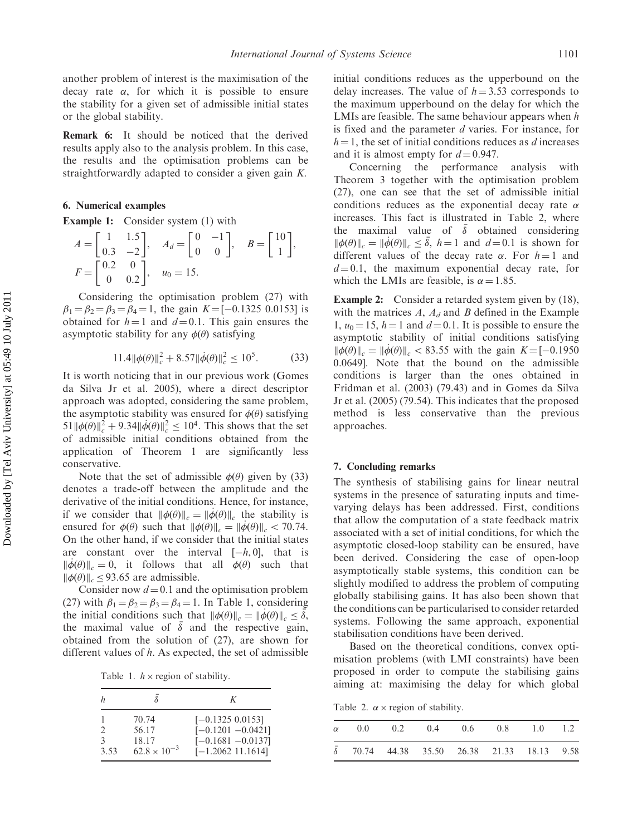another problem of interest is the maximisation of the decay rate  $\alpha$ , for which it is possible to ensure the stability for a given set of admissible initial states or the global stability.

Remark 6: It should be noticed that the derived results apply also to the analysis problem. In this case, the results and the optimisation problems can be straightforwardly adapted to consider a given gain K.

#### 6. Numerical examples

**Example 1:** Consider system (1) with

$$
A = \begin{bmatrix} 1 & 1.5 \\ 0.3 & -2 \end{bmatrix}, \quad A_d = \begin{bmatrix} 0 & -1 \\ 0 & 0 \end{bmatrix}, \quad B = \begin{bmatrix} 10 \\ 1 \end{bmatrix},
$$
  

$$
F = \begin{bmatrix} 0.2 & 0 \\ 0 & 0.2 \end{bmatrix}, \quad u_0 = 15.
$$

Considering the optimisation problem (27) with  $\beta_1 = \beta_2 = \beta_3 = \beta_4 = 1$ , the gain  $K = [-0.1325, 0.0153]$  is obtained for  $h = 1$  and  $d = 0.1$ . This gain ensures the asymptotic stability for any  $\phi(\theta)$  satisfying

$$
11.4 \|\phi(\theta)\|_{c}^{2} + 8.57 \|\dot{\phi}(\theta)\|_{c}^{2} \le 10^{5}.
$$
 (33)

It is worth noticing that in our previous work (Gomes da Silva Jr et al. 2005), where a direct descriptor approach was adopted, considering the same problem, the asymptotic stability was ensured for  $\phi(\theta)$  satisfying  $51 \|\phi(\theta)\|_c^2 + 9.34 \|\dot{\phi}(\theta)\|_c^2 \le 10^4$ . This shows that the set of admissible initial conditions obtained from the application of Theorem 1 are significantly less conservative.

Note that the set of admissible  $\phi(\theta)$  given by (33) denotes a trade-off between the amplitude and the derivative of the initial conditions. Hence, for instance, if we consider that  $\|\phi(\theta)\|_c = \|\phi(\theta)\|_c$  the stability is ensured for  $\phi(\theta)$  such that  $\|\phi(\theta)\|_c = \|\dot{\phi}(\theta)\|_c < 70.74$ . On the other hand, if we consider that the initial states are constant over the interval  $[-h, 0]$ , that is  $\|\phi(\theta)\|_c = 0$ , it follows that all  $\phi(\theta)$  such that  $\|\phi(\theta)\|_{c} \leq 93.65$  are admissible.

Consider now  $d = 0.1$  and the optimisation problem (27) with  $\beta_1 = \beta_2 = \beta_3 = \beta_4 = 1$ . In Table 1, considering the initial conditions such that  $\|\phi(\theta)\|_c = \|\dot{\phi}(\theta)\|_c \leq \bar{\delta}$ , the maximal value of  $\bar{\delta}$  and the respective gain, obtained from the solution of (27), are shown for different values of h. As expected, the set of admissible

Table 1.  $h \times$  region of stability.

| h                                          | $\mathcal{S}_{\mathcal{S}}$                      | K                                                                                         |
|--------------------------------------------|--------------------------------------------------|-------------------------------------------------------------------------------------------|
| $\mathfrak{D}_{\mathfrak{p}}$<br>3<br>3.53 | 70.74<br>56.17<br>18.17<br>$62.8 \times 10^{-3}$ | $[-0.1325 0.0153]$<br>$[-0.1201 - 0.0421]$<br>$[-0.1681 - 0.0137]$<br>$[-1.2062 11.1614]$ |

initial conditions reduces as the upperbound on the delay increases. The value of  $h = 3.53$  corresponds to the maximum upperbound on the delay for which the LMIs are feasible. The same behaviour appears when  $h$ is fixed and the parameter  $d$  varies. For instance, for  $h = 1$ , the set of initial conditions reduces as d increases and it is almost empty for  $d = 0.947$ .

Concerning the performance analysis with Theorem 3 together with the optimisation problem (27), one can see that the set of admissible initial conditions reduces as the exponential decay rate  $\alpha$ increases. This fact is illustrated in Table 2, where the maximal value of  $\overline{\delta}$  obtained considering  $\|\phi(\theta)\|_{c} = \|\dot{\phi}(\theta)\|_{c} \leq \bar{\delta}, h = 1 \text{ and } d = 0.1 \text{ is shown for }$ different values of the decay rate  $\alpha$ . For  $h = 1$  and  $d = 0.1$ , the maximum exponential decay rate, for which the LMIs are feasible, is  $\alpha = 1.85$ .

**Example 2:** Consider a retarded system given by (18), with the matrices  $A$ ,  $A_d$  and  $B$  defined in the Example 1,  $u_0 = 15$ ,  $h = 1$  and  $d = 0.1$ . It is possible to ensure the asymptotic stability of initial conditions satisfying  $\|\phi(\theta)\|_c = \|\dot{\phi}(\theta)\|_c < 83.55$  with the gain  $K = [-0.1950]$ 0.0649]. Note that the bound on the admissible conditions is larger than the ones obtained in Fridman et al. (2003) (79.43) and in Gomes da Silva Jr et al. (2005) (79.54). This indicates that the proposed method is less conservative than the previous approaches.

#### 7. Concluding remarks

The synthesis of stabilising gains for linear neutral systems in the presence of saturating inputs and timevarying delays has been addressed. First, conditions that allow the computation of a state feedback matrix associated with a set of initial conditions, for which the asymptotic closed-loop stability can be ensured, have been derived. Considering the case of open-loop asymptotically stable systems, this condition can be slightly modified to address the problem of computing globally stabilising gains. It has also been shown that the conditions can be particularised to consider retarded systems. Following the same approach, exponential stabilisation conditions have been derived.

Based on the theoretical conditions, convex optimisation problems (with LMI constraints) have been proposed in order to compute the stabilising gains aiming at: maximising the delay for which global

Table 2.  $\alpha \times$  region of stability.

|  |  | $\alpha$ 0.0 0.2 0.4 0.6 0.8 1.0 1.2                    |  |
|--|--|---------------------------------------------------------|--|
|  |  | $\bar{\delta}$ 70.74 44.38 35.50 26.38 21.33 18.13 9.58 |  |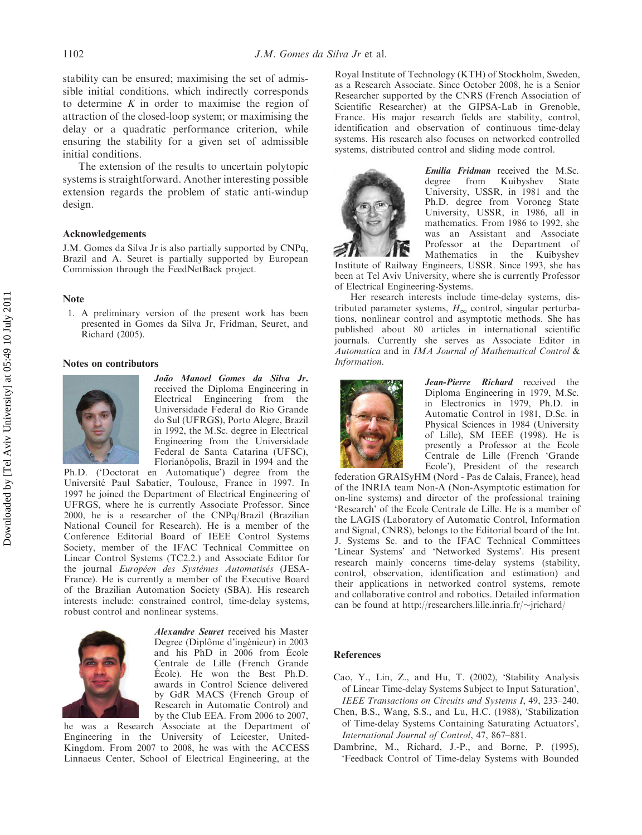stability can be ensured; maximising the set of admissible initial conditions, which indirectly corresponds to determine  $K$  in order to maximise the region of attraction of the closed-loop system; or maximising the delay or a quadratic performance criterion, while ensuring the stability for a given set of admissible initial conditions.

The extension of the results to uncertain polytopic systems is straightforward. Another interesting possible extension regards the problem of static anti-windup design.

### Acknowledgements

J.M. Gomes da Silva Jr is also partially supported by CNPq, Brazil and A. Seuret is partially supported by European Commission through the FeedNetBack project.

#### Note

1. A preliminary version of the present work has been presented in Gomes da Silva Jr, Fridman, Seuret, and Richard (2005).

#### Notes on contributors



João Manoel Gomes da Silva Jr. received the Diploma Engineering in Electrical Engineering from the Universidade Federal do Rio Grande do Sul (UFRGS), Porto Alegre, Brazil in 1992, the M.Sc. degree in Electrical Engineering from the Universidade Federal de Santa Catarina (UFSC), Florianópolis, Brazil in 1994 and the

Ph.D. ('Doctorat en Automatique') degree from the Universite´ Paul Sabatier, Toulouse, France in 1997. In 1997 he joined the Department of Electrical Engineering of UFRGS, where he is currently Associate Professor. Since 2000, he is a researcher of the CNPq/Brazil (Brazilian National Council for Research). He is a member of the Conference Editorial Board of IEEE Control Systems Society, member of the IFAC Technical Committee on Linear Control Systems (TC2.2.) and Associate Editor for the journal Européen des Systèmes Automatisés (JESA-France). He is currently a member of the Executive Board of the Brazilian Automation Society (SBA). His research interests include: constrained control, time-delay systems, robust control and nonlinear systems.



Alexandre Seuret received his Master Degree (Diplôme d'ingénieur) in 2003 and his PhD in 2006 from Ecole Centrale de Lille (French Grande École). He won the Best Ph.D. awards in Control Science delivered by GdR MACS (French Group of Research in Automatic Control) and by the Club EEA. From 2006 to 2007,

he was a Research Associate at the Department of Engineering in the University of Leicester, United-Kingdom. From 2007 to 2008, he was with the ACCESS Linnaeus Center, School of Electrical Engineering, at the

Royal Institute of Technology (KTH) of Stockholm, Sweden, as a Research Associate. Since October 2008, he is a Senior Researcher supported by the CNRS (French Association of Scientific Researcher) at the GIPSA-Lab in Grenoble, France. His major research fields are stability, control, identification and observation of continuous time-delay systems. His research also focuses on networked controlled systems, distributed control and sliding mode control.



Emilia Fridman received the M.Sc. degree from Kuibyshev State University, USSR, in 1981 and the Ph.D. degree from Voroneg State University, USSR, in 1986, all in mathematics. From 1986 to 1992, she was an Assistant and Associate Professor at the Department of Mathematics in the Kuibyshev

Institute of Railway Engineers, USSR. Since 1993, she has been at Tel Aviv University, where she is currently Professor of Electrical Engineering-Systems.

Her research interests include time-delay systems, distributed parameter systems,  $H_{\infty}$  control, singular perturbations, nonlinear control and asymptotic methods. She has published about 80 articles in international scientific journals. Currently she serves as Associate Editor in Automatica and in IMA Journal of Mathematical Control & Information.



Jean-Pierre Richard received the Diploma Engineering in 1979, M.Sc. in Electronics in 1979, Ph.D. in Automatic Control in 1981, D.Sc. in Physical Sciences in 1984 (University of Lille), SM IEEE (1998). He is presently a Professor at the Ecole Centrale de Lille (French 'Grande Ecole'), President of the research

federation GRAISyHM (Nord - Pas de Calais, France), head of the INRIA team Non-A (Non-Asymptotic estimation for on-line systems) and director of the professional training 'Research' of the Ecole Centrale de Lille. He is a member of the LAGIS (Laboratory of Automatic Control, Information and Signal, CNRS), belongs to the Editorial board of the Int. J. Systems Sc. and to the IFAC Technical Committees 'Linear Systems' and 'Networked Systems'. His present research mainly concerns time-delay systems (stability, control, observation, identification and estimation) and their applications in networked control systems, remote and collaborative control and robotics. Detailed information can be found at http://researchers.lille.inria.fr/~jrichard/

## **References**

- Cao, Y., Lin, Z., and Hu, T. (2002), 'Stability Analysis of Linear Time-delay Systems Subject to Input Saturation', IEEE Transactions on Circuits and Systems I, 49, 233–240.
- Chen, B.S., Wang, S.S., and Lu, H.C. (1988), 'Stabilization of Time-delay Systems Containing Saturating Actuators', International Journal of Control, 47, 867–881.
- Dambrine, M., Richard, J.-P., and Borne, P. (1995), 'Feedback Control of Time-delay Systems with Bounded